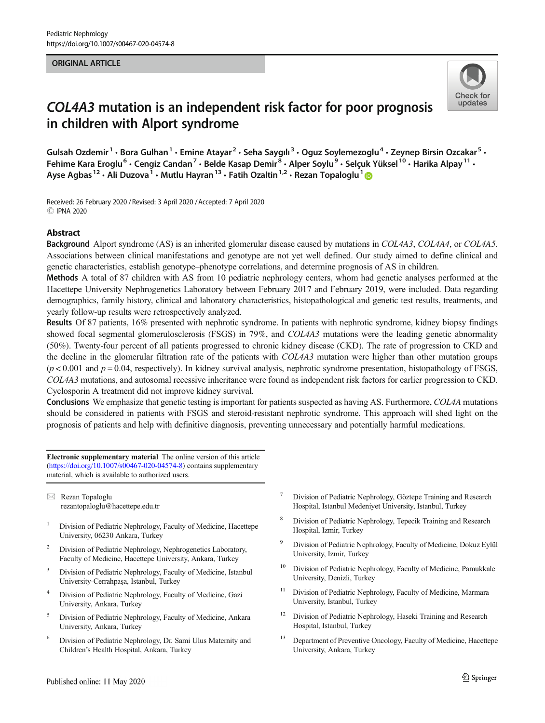### ORIGINAL ARTICLE



# COL4A3 mutation is an independent risk factor for poor prognosis in children with Alport syndrome

Gulsah Ozdemir<sup>1</sup> • Bora Gulhan<sup>1</sup> • Emine Atayar<sup>2</sup> • Seha Saygılı<sup>3</sup> • Oguz Soylemezoglu<sup>4</sup> • Zeynep Birsin Ozcakar<sup>5</sup> • Fehime Kara Eroglu<sup>6</sup> • Cengiz Candan<sup>7</sup> • Belde Kasap Demir<sup>8</sup> • Alper Soylu<sup>9</sup> • Selçuk Yüksel<sup>10</sup> • Harika Alpay<sup>11</sup> • Ayse Agbas<sup>12</sup> • Ali Duzova<sup>1</sup> • Mutlu Hayran<sup>13</sup> • Fatih Ozaltin<sup>1,2</sup> • Rezan Topaloglu<sup>1</sup>

Received: 26 February 2020 / Revised: 3 April 2020 /Accepted: 7 April 2020 **C IPNA 2020** 

### Abstract

Background Alport syndrome (AS) is an inherited glomerular disease caused by mutations in COL4A3, COL4A4, or COL4A5. Associations between clinical manifestations and genotype are not yet well defined. Our study aimed to define clinical and genetic characteristics, establish genotype–phenotype correlations, and determine prognosis of AS in children.

Methods A total of 87 children with AS from 10 pediatric nephrology centers, whom had genetic analyses performed at the Hacettepe University Nephrogenetics Laboratory between February 2017 and February 2019, were included. Data regarding demographics, family history, clinical and laboratory characteristics, histopathological and genetic test results, treatments, and yearly follow-up results were retrospectively analyzed.

Results Of 87 patients, 16% presented with nephrotic syndrome. In patients with nephrotic syndrome, kidney biopsy findings showed focal segmental glomerulosclerosis (FSGS) in 79%, and COL4A3 mutations were the leading genetic abnormality (50%). Twenty-four percent of all patients progressed to chronic kidney disease (CKD). The rate of progression to CKD and the decline in the glomerular filtration rate of the patients with COL4A3 mutation were higher than other mutation groups  $(p < 0.001$  and  $p = 0.04$ , respectively). In kidney survival analysis, nephrotic syndrome presentation, histopathology of FSGS, COL4A3 mutations, and autosomal recessive inheritance were found as independent risk factors for earlier progression to CKD. Cyclosporin A treatment did not improve kidney survival.

Conclusions We emphasize that genetic testing is important for patients suspected as having AS. Furthermore, COL4A mutations should be considered in patients with FSGS and steroid-resistant nephrotic syndrome. This approach will shed light on the prognosis of patients and help with definitive diagnosis, preventing unnecessary and potentially harmful medications.

Electronic supplementary material The online version of this article ([https://doi.org/10.1007/s00467-020-04574-8\)](https://doi.org/10.1007/s00467-020-04574-8) contains supplementary material, which is available to authorized users.

 $\boxtimes$  Rezan Topaloglu [rezantopaloglu@hacettepe.edu.tr](mailto:rezantopaloglu@hacettepe.edu.tr)

- <sup>1</sup> Division of Pediatric Nephrology, Faculty of Medicine, Hacettepe University, 06230 Ankara, Turkey
- <sup>2</sup> Division of Pediatric Nephrology, Nephrogenetics Laboratory, Faculty of Medicine, Hacettepe University, Ankara, Turkey
- <sup>3</sup> Division of Pediatric Nephrology, Faculty of Medicine, Istanbul University-Cerrahpaşa, Istanbul, Turkey
- <sup>4</sup> Division of Pediatric Nephrology, Faculty of Medicine, Gazi University, Ankara, Turkey
- <sup>5</sup> Division of Pediatric Nephrology, Faculty of Medicine, Ankara University, Ankara, Turkey
- <sup>6</sup> Division of Pediatric Nephrology, Dr. Sami Ulus Maternity and Children's Health Hospital, Ankara, Turkey
- <sup>7</sup> Division of Pediatric Nephrology, Göztepe Training and Research Hospital, Istanbul Medeniyet University, Istanbul, Turkey
- <sup>8</sup> Division of Pediatric Nephrology, Tepecik Training and Research Hospital, Izmir, Turkey
- <sup>9</sup> Division of Pediatric Nephrology, Faculty of Medicine, Dokuz Eylül University, Izmir, Turkey
- <sup>10</sup> Division of Pediatric Nephrology, Faculty of Medicine, Pamukkale University, Denizli, Turkey
- <sup>11</sup> Division of Pediatric Nephrology, Faculty of Medicine, Marmara University, Istanbul, Turkey
- <sup>12</sup> Division of Pediatric Nephrology, Haseki Training and Research Hospital, Istanbul, Turkey
- <sup>13</sup> Department of Preventive Oncology, Faculty of Medicine, Hacettepe University, Ankara, Turkey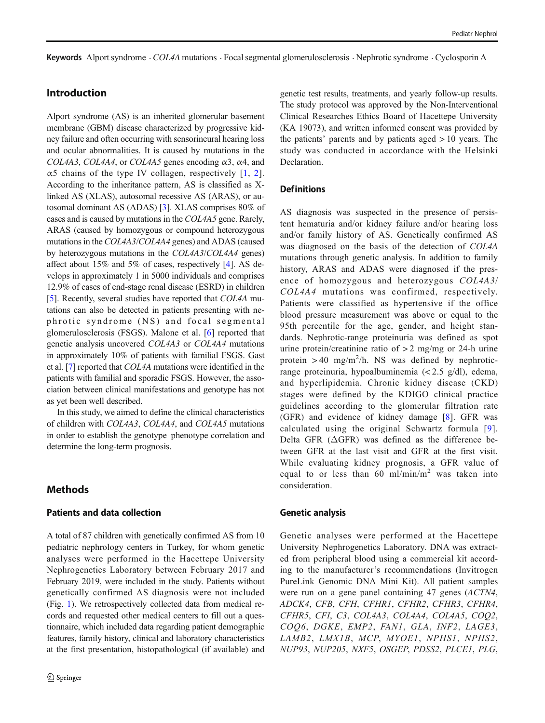Keywords Alport syndrome . COL4A mutations . Focal segmental glomerulosclerosis . Nephrotic syndrome . Cyclosporin A

# Introduction

Alport syndrome (AS) is an inherited glomerular basement membrane (GBM) disease characterized by progressive kidney failure and often occurring with sensorineural hearing loss and ocular abnormalities. It is caused by mutations in the COL4A3, COL4A4, or COL4A5 genes encoding  $\alpha$ 3,  $\alpha$ 4, and α5 chains of the type IV collagen, respectively  $[1, 2]$  $[1, 2]$  $[1, 2]$  $[1, 2]$  $[1, 2]$ . According to the inheritance pattern, AS is classified as Xlinked AS (XLAS), autosomal recessive AS (ARAS), or autosomal dominant AS (ADAS) [\[3](#page-10-0)]. XLAS comprises 80% of cases and is caused by mutations in the COL4A5 gene. Rarely, ARAS (caused by homozygous or compound heterozygous mutations in the COL4A3/COL4A4 genes) and ADAS (caused by heterozygous mutations in the COL4A3/COL4A4 genes) affect about 15% and 5% of cases, respectively [\[4\]](#page-10-0). AS develops in approximately 1 in 5000 individuals and comprises 12.9% of cases of end-stage renal disease (ESRD) in children [\[5](#page-10-0)]. Recently, several studies have reported that COL4A mutations can also be detected in patients presenting with nephrotic syndrome (NS) and focal segmental glomerulosclerosis (FSGS). Malone et al. [\[6](#page-10-0)] reported that genetic analysis uncovered COL4A3 or COL4A4 mutations in approximately 10% of patients with familial FSGS. Gast et al. [[7](#page-10-0)] reported that COL4A mutations were identified in the patients with familial and sporadic FSGS. However, the association between clinical manifestations and genotype has not as yet been well described.

In this study, we aimed to define the clinical characteristics of children with COL4A3, COL4A4, and COL4A5 mutations in order to establish the genotype–phenotype correlation and determine the long-term prognosis.

# Methods

## Patients and data collection

A total of 87 children with genetically confirmed AS from 10 pediatric nephrology centers in Turkey, for whom genetic analyses were performed in the Hacettepe University Nephrogenetics Laboratory between February 2017 and February 2019, were included in the study. Patients without genetically confirmed AS diagnosis were not included (Fig. [1\)](#page-2-0). We retrospectively collected data from medical records and requested other medical centers to fill out a questionnaire, which included data regarding patient demographic features, family history, clinical and laboratory characteristics at the first presentation, histopathological (if available) and genetic test results, treatments, and yearly follow-up results. The study protocol was approved by the Non-Interventional Clinical Researches Ethics Board of Hacettepe University (KA 19073), and written informed consent was provided by the patients' parents and by patients aged > 10 years. The study was conducted in accordance with the Helsinki Declaration.

## **Definitions**

AS diagnosis was suspected in the presence of persistent hematuria and/or kidney failure and/or hearing loss and/or family history of AS. Genetically confirmed AS was diagnosed on the basis of the detection of COL4A mutations through genetic analysis. In addition to family history, ARAS and ADAS were diagnosed if the presence of homozygous and heterozygous COL4A3/ COL4A4 mutations was confirmed, respectively. Patients were classified as hypertensive if the office blood pressure measurement was above or equal to the 95th percentile for the age, gender, and height standards. Nephrotic-range proteinuria was defined as spot urine protein/creatinine ratio of  $> 2$  mg/mg or 24-h urine protein  $> 40$  mg/m<sup>2</sup>/h. NS was defined by nephroticrange proteinuria, hypoalbuminemia (< 2.5 g/dl), edema, and hyperlipidemia. Chronic kidney disease (CKD) stages were defined by the KDIGO clinical practice guidelines according to the glomerular filtration rate (GFR) and evidence of kidney damage [[8](#page-10-0)]. GFR was calculated using the original Schwartz formula [[9](#page-10-0)]. Delta GFR (ΔGFR) was defined as the difference between GFR at the last visit and GFR at the first visit. While evaluating kidney prognosis, a GFR value of equal to or less than 60 ml/min/ $m<sup>2</sup>$  was taken into consideration.

#### Genetic analysis

Genetic analyses were performed at the Hacettepe University Nephrogenetics Laboratory. DNA was extracted from peripheral blood using a commercial kit according to the manufacturer's recommendations (Invitrogen PureLink Genomic DNA Mini Kit). All patient samples were run on a gene panel containing 47 genes (ACTN4, ADCK4, CFB, CFH, CFHR1, CFHR2, CFHR3, CFHR4, CFHR5, CFI, C3, COL4A3, COL4A4, COL4A5, COQ2, COQ6, DGKE, EMP2, FAN1, GLA, INF2, LAGE3, LAMB2, LMX1B, MCP, MYOE1, NPHS1, NPHS2, NUP93, NUP205, NXF5, OSGEP, PDSS2, PLCE1, PLG,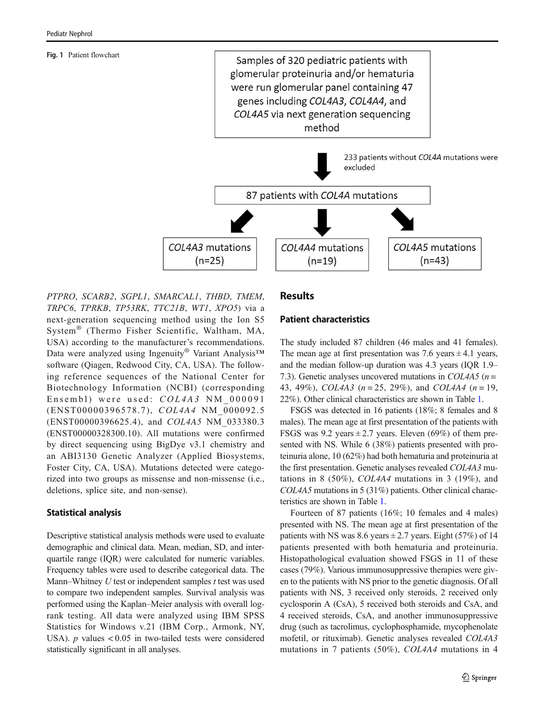#### <span id="page-2-0"></span>Fig. 1 Patient flowchart



PTPRO, SCARB2, SGPL1, SMARCAL1, THBD, TMEM, TRPC6, TPRKB, TP53RK, TTC21B, WT1, XPO5) via a next-generation sequencing method using the Ion S5 System® (Thermo Fisher Scientific, Waltham, MA, USA) according to the manufacturer's recommendations. Data were analyzed using Ingenuity<sup>®</sup> Variant Analysis™ software (Qiagen, Redwood City, CA, USA). The following reference sequences of the National Center for Biotechnology Information (NCBI) (corresponding Ensembl) were used: COL4A3 NM\_000091 (ENST00000396578.7), COL4A4 NM\_000092.5 (ENST00000396625.4), and COL4A5 NM\_033380.3 (ENST00000328300.10). All mutations were confirmed by direct sequencing using BigDye v3.1 chemistry and an ABI3130 Genetic Analyzer (Applied Biosystems, Foster City, CA, USA). Mutations detected were categorized into two groups as missense and non-missense (i.e., deletions, splice site, and non-sense).

## Statistical analysis

Descriptive statistical analysis methods were used to evaluate demographic and clinical data. Mean, median, SD, and interquartile range (IQR) were calculated for numeric variables. Frequency tables were used to describe categorical data. The Mann–Whitney  $U$  test or independent samples  $t$  test was used to compare two independent samples. Survival analysis was performed using the Kaplan–Meier analysis with overall logrank testing. All data were analyzed using IBM SPSS Statistics for Windows v.21 (IBM Corp., Armonk, NY, USA).  $p$  values  $< 0.05$  in two-tailed tests were considered statistically significant in all analyses.

# Results

# Patient characteristics

The study included 87 children (46 males and 41 females). The mean age at first presentation was 7.6 years  $\pm$  4.1 years, and the median follow-up duration was 4.3 years (IQR 1.9– 7.3). Genetic analyses uncovered mutations in COL4A5 ( $n =$ 43, 49%), COL4A3 ( $n = 25$ , 29%), and COL4A4 ( $n = 19$ , 22%). Other clinical characteristics are shown in Table [1.](#page-3-0)

FSGS was detected in 16 patients (18%; 8 females and 8 males). The mean age at first presentation of the patients with FSGS was  $9.2$  years  $\pm 2.7$  years. Eleven (69%) of them presented with NS. While 6 (38%) patients presented with proteinuria alone, 10 (62%) had both hematuria and proteinuria at the first presentation. Genetic analyses revealed COL4A3 mutations in 8 (50%), COL4A4 mutations in 3 (19%), and COL4A5 mutations in 5 (31%) patients. Other clinical characteristics are shown in Table [1](#page-3-0).

Fourteen of 87 patients (16%; 10 females and 4 males) presented with NS. The mean age at first presentation of the patients with NS was  $8.6$  years  $\pm 2.7$  years. Eight (57%) of 14 patients presented with both hematuria and proteinuria. Histopathological evaluation showed FSGS in 11 of these cases (79%). Various immunosuppressive therapies were given to the patients with NS prior to the genetic diagnosis. Of all patients with NS, 3 received only steroids, 2 received only cyclosporin A (CsA), 5 received both steroids and CsA, and 4 received steroids, CsA, and another immunosuppressive drug (such as tacrolimus, cyclophosphamide, mycophenolate mofetil, or rituximab). Genetic analyses revealed COL4A3 mutations in 7 patients (50%), COL4A4 mutations in 4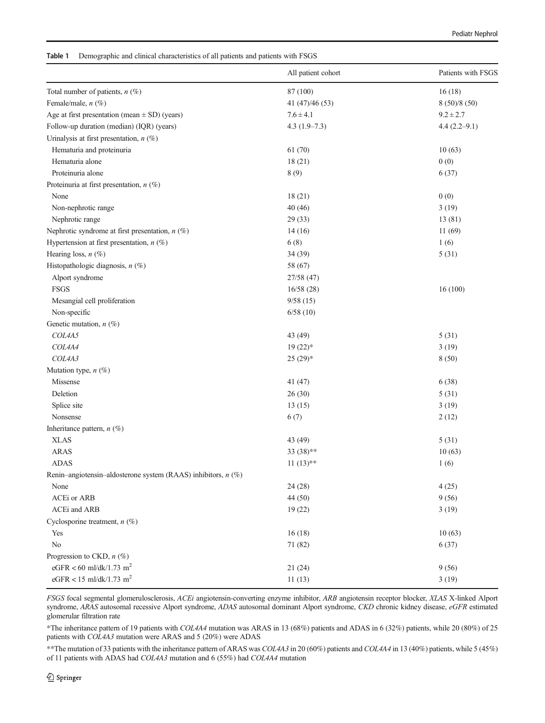<span id="page-3-0"></span>Table 1 Demographic and clinical characteristics of all patients and patients with FSGS

|                                                               | All patient cohort | Patients with FSGS |
|---------------------------------------------------------------|--------------------|--------------------|
| Total number of patients, $n$ (%)                             | 87 (100)           | 16(18)             |
| Female/male, n (%)                                            | 41 (47)/46 (53)    | 8(50)/8(50)        |
| Age at first presentation (mean $\pm$ SD) (years)             | $7.6 \pm 4.1$      | $9.2 \pm 2.7$      |
| Follow-up duration (median) (IQR) (years)                     | $4.3(1.9-7.3)$     | $4.4(2.2 - 9.1)$   |
| Urinalysis at first presentation, $n$ (%)                     |                    |                    |
| Hematuria and proteinuria                                     | 61 (70)            | 10(63)             |
| Hematuria alone                                               | 18(21)             | 0(0)               |
| Proteinuria alone                                             | 8(9)               | 6(37)              |
| Proteinuria at first presentation, $n$ (%)                    |                    |                    |
| None                                                          | 18(21)             | 0(0)               |
| Non-nephrotic range                                           | 40(46)             | 3(19)              |
| Nephrotic range                                               | 29(33)             | 13(81)             |
| Nephrotic syndrome at first presentation, $n$ (%)             | 14(16)             | 11(69)             |
| Hypertension at first presentation, $n$ (%)                   | 6(8)               | 1(6)               |
| Hearing loss, $n$ (%)                                         | 34(39)             | 5(31)              |
| Histopathologic diagnosis, $n$ (%)                            | 58 (67)            |                    |
| Alport syndrome                                               | 27/58 (47)         |                    |
| FSGS                                                          | 16/58(28)          | 16(100)            |
| Mesangial cell proliferation                                  | 9/58(15)           |                    |
| Non-specific                                                  | 6/58(10)           |                    |
| Genetic mutation, $n$ (%)                                     |                    |                    |
| COL4A5                                                        | 43 (49)            | 5(31)              |
| COL4A4                                                        | $19(22)*$          | 3(19)              |
| COL4A3                                                        | $25(29)$ *         | 8(50)              |
| Mutation type, $n$ (%)                                        |                    |                    |
| Missense                                                      | 41 (47)            | 6(38)              |
| Deletion                                                      | 26(30)             | 5(31)              |
| Splice site                                                   | 13(15)             | 3(19)              |
| Nonsense                                                      | 6(7)               | 2(12)              |
| Inheritance pattern, $n$ (%)                                  |                    |                    |
| <b>XLAS</b>                                                   | 43 (49)            | 5(31)              |
| <b>ARAS</b>                                                   | $33(38)$ **        | 10(63)             |
| <b>ADAS</b>                                                   | $11(13)$ **        | 1(6)               |
| Renin-angiotensin-aldosterone system (RAAS) inhibitors, n (%) |                    |                    |
| None                                                          | 24(28)             | 4(25)              |
| ACEi or ARB                                                   | 44 (50)            | 9(56)              |
| ACEi and ARB                                                  | 19(22)             | 3(19)              |
| Cyclosporine treatment, $n$ (%)                               |                    |                    |
| Yes                                                           | 16(18)             | 10(63)             |
| N <sub>0</sub>                                                | 71 (82)            | 6(37)              |
| Progression to CKD, $n$ (%)                                   |                    |                    |
| eGFR < 60 ml/dk/1.73 m <sup>2</sup>                           | 21(24)             | 9(56)              |
| eGFR < 15 ml/dk/1.73 m <sup>2</sup>                           | 11(13)             | 3(19)              |

FSGS focal segmental glomerulosclerosis, ACEi angiotensin-converting enzyme inhibitor, ARB angiotensin receptor blocker, XLAS X-linked Alport syndrome, ARAS autosomal recessive Alport syndrome, ADAS autosomal dominant Alport syndrome, CKD chronic kidney disease, eGFR estimated glomerular filtration rate

\*The inheritance pattern of 19 patients with COL4A4 mutation was ARAS in 13 (68%) patients and ADAS in 6 (32%) patients, while 20 (80%) of 25 patients with COL4A3 mutation were ARAS and 5 (20%) were ADAS

\*\*The mutation of 33 patients with the inheritance pattern of ARAS was COL4A3 in 20 (60%) patients and COL4A4 in 13 (40%) patients, while 5 (45%) of 11 patients with ADAS had COL4A3 mutation and 6 (55%) had COL4A4 mutation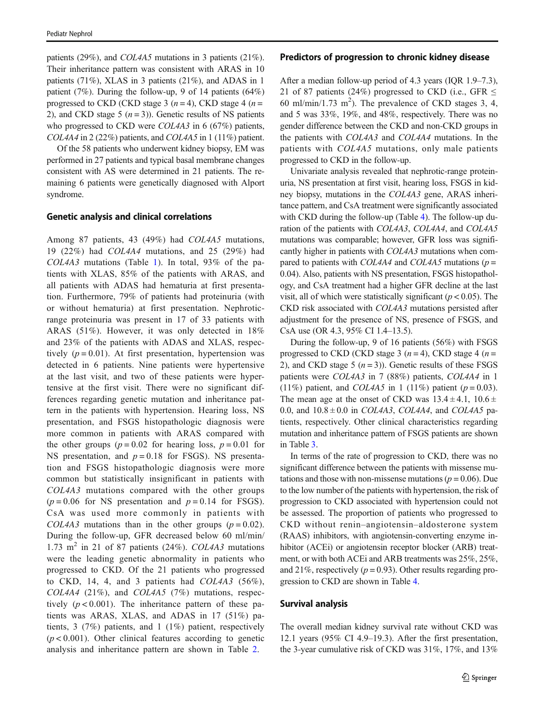patients (29%), and COL4A5 mutations in 3 patients (21%). Their inheritance pattern was consistent with ARAS in 10 patients (71%), XLAS in 3 patients (21%), and ADAS in 1 patient (7%). During the follow-up, 9 of 14 patients (64%) progressed to CKD (CKD stage 3  $(n=4)$ , CKD stage 4  $(n=$ 2), and CKD stage 5  $(n=3)$ ). Genetic results of NS patients who progressed to CKD were *COL4A3* in 6 (67%) patients, COL4A4 in 2 (22%) patients, and COL4A5 in 1 (11%) patient.

Of the 58 patients who underwent kidney biopsy, EM was performed in 27 patients and typical basal membrane changes consistent with AS were determined in 21 patients. The remaining 6 patients were genetically diagnosed with Alport syndrome.

#### Genetic analysis and clinical correlations

Among 87 patients, 43 (49%) had COL4A5 mutations, 19 (22%) had COL4A4 mutations, and 25 (29%) had COL4A3 mutations (Table [1](#page-3-0)). In total, 93% of the patients with XLAS, 85% of the patients with ARAS, and all patients with ADAS had hematuria at first presentation. Furthermore, 79% of patients had proteinuria (with or without hematuria) at first presentation. Nephroticrange proteinuria was present in 17 of 33 patients with ARAS (51%). However, it was only detected in 18% and 23% of the patients with ADAS and XLAS, respectively ( $p = 0.01$ ). At first presentation, hypertension was detected in 6 patients. Nine patients were hypertensive at the last visit, and two of these patients were hypertensive at the first visit. There were no significant differences regarding genetic mutation and inheritance pattern in the patients with hypertension. Hearing loss, NS presentation, and FSGS histopathologic diagnosis were more common in patients with ARAS compared with the other groups ( $p = 0.02$  for hearing loss,  $p = 0.01$  for NS presentation, and  $p = 0.18$  for FSGS). NS presentation and FSGS histopathologic diagnosis were more common but statistically insignificant in patients with COL4A3 mutations compared with the other groups  $(p = 0.06$  for NS presentation and  $p = 0.14$  for FSGS). CsA was used more commonly in patients with COL4A3 mutations than in the other groups  $(p = 0.02)$ . During the follow-up, GFR decreased below 60 ml/min/ 1.73 m<sup>2</sup> in 21 of 87 patients (24%). COL4A3 mutations were the leading genetic abnormality in patients who progressed to CKD. Of the 21 patients who progressed to CKD, 14, 4, and 3 patients had COL4A3 (56%),  $COL4A4$  (21%), and  $COL4A5$  (7%) mutations, respectively  $(p < 0.001)$ . The inheritance pattern of these patients was ARAS, XLAS, and ADAS in 17 (51%) patients, 3 (7%) patients, and 1 (1%) patient, respectively  $(p < 0.001)$ . Other clinical features according to genetic analysis and inheritance pattern are shown in Table [2](#page-5-0).

#### Predictors of progression to chronic kidney disease

After a median follow-up period of 4.3 years (IQR 1.9–7.3), 21 of 87 patients (24%) progressed to CKD (i.e., GFR ≤ 60 ml/min/1.73 m<sup>2</sup>). The prevalence of CKD stages 3, 4, and 5 was 33%, 19%, and 48%, respectively. There was no gender difference between the CKD and non-CKD groups in the patients with COL4A3 and COL4A4 mutations. In the patients with COL4A5 mutations, only male patients progressed to CKD in the follow-up.

Univariate analysis revealed that nephrotic-range proteinuria, NS presentation at first visit, hearing loss, FSGS in kidney biopsy, mutations in the COL4A3 gene, ARAS inheritance pattern, and CsA treatment were significantly associated with CKD during the follow-up (Table [4\)](#page-7-0). The follow-up duration of the patients with COL4A3, COL4A4, and COL4A5 mutations was comparable; however, GFR loss was significantly higher in patients with COL4A3 mutations when compared to patients with COL4A4 and COL4A5 mutations ( $p =$ 0.04). Also, patients with NS presentation, FSGS histopathology, and CsA treatment had a higher GFR decline at the last visit, all of which were statistically significant ( $p < 0.05$ ). The CKD risk associated with COL4A3 mutations persisted after adjustment for the presence of NS, presence of FSGS, and CsA use (OR 4.3, 95% CI 1.4–13.5).

During the follow-up, 9 of 16 patients (56%) with FSGS progressed to CKD (CKD stage 3  $(n=4)$ , CKD stage 4  $(n=$ 2), and CKD stage 5  $(n=3)$ ). Genetic results of these FSGS patients were COL4A3 in 7 (88%) patients, COL4A4 in 1 (11%) patient, and *COL4A5* in 1 (11%) patient ( $p = 0.03$ ). The mean age at the onset of CKD was  $13.4 \pm 4.1$ ,  $10.6 \pm$ 0.0, and  $10.8 \pm 0.0$  in *COL4A3*, *COL4A4*, and *COL4A5* patients, respectively. Other clinical characteristics regarding mutation and inheritance pattern of FSGS patients are shown in Table [3](#page-6-0).

In terms of the rate of progression to CKD, there was no significant difference between the patients with missense mutations and those with non-missense mutations ( $p = 0.06$ ). Due to the low number of the patients with hypertension, the risk of progression to CKD associated with hypertension could not be assessed. The proportion of patients who progressed to CKD without renin–angiotensin–aldosterone system (RAAS) inhibitors, with angiotensin-converting enzyme inhibitor (ACEi) or angiotensin receptor blocker (ARB) treatment, or with both ACEi and ARB treatments was 25%, 25%, and 21%, respectively ( $p = 0.93$ ). Other results regarding progression to CKD are shown in Table [4](#page-7-0).

#### Survival analysis

The overall median kidney survival rate without CKD was 12.1 years (95% CI 4.9–19.3). After the first presentation, the 3-year cumulative risk of CKD was 31%, 17%, and 13%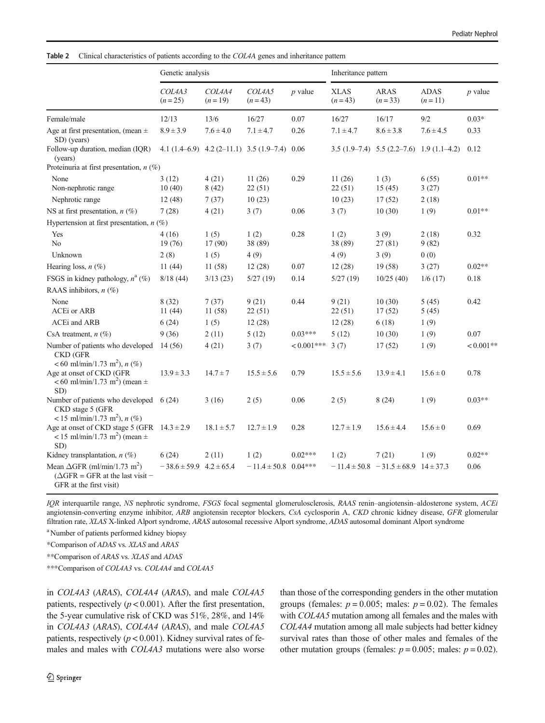<span id="page-5-0"></span>Table 2 Clinical characteristics of patients according to the COL4A genes and inheritance pattern

|                                                                                                                       | Genetic analysis                |                    |                                                     |              | Inheritance pattern     |                                                 |                         |             |
|-----------------------------------------------------------------------------------------------------------------------|---------------------------------|--------------------|-----------------------------------------------------|--------------|-------------------------|-------------------------------------------------|-------------------------|-------------|
|                                                                                                                       | COL4A3<br>$(n=25)$              | COL4A4<br>$(n=19)$ | COL4A5<br>$(n=43)$                                  | $p$ value    | <b>XLAS</b><br>$(n=43)$ | <b>ARAS</b><br>$(n=33)$                         | <b>ADAS</b><br>$(n=11)$ | $p$ value   |
| Female/male                                                                                                           | 12/13                           | 13/6               | 16/27                                               | 0.07         | 16/27                   | 16/17                                           | 9/2                     | $0.03*$     |
| Age at first presentation, (mean $\pm$<br>SD) (years)                                                                 | $8.9 \pm 3.9$                   | $7.6 \pm 4.0$      | $7.1 \pm 4.7$                                       | 0.26         | $7.1 \pm 4.7$           | $8.6 \pm 3.8$                                   | $7.6 \pm 4.5$           | 0.33        |
| Follow-up duration, median (IOR)<br>(years)                                                                           |                                 |                    | 4.1 $(1.4-6.9)$ 4.2 $(2-11.1)$ 3.5 $(1.9-7.4)$ 0.06 |              |                         | $3.5(1.9-7.4)$ $5.5(2.2-7.6)$ $1.9(1.1-4.2)$    |                         | 0.12        |
| Proteinuria at first presentation, $n$ (%)                                                                            |                                 |                    |                                                     |              |                         |                                                 |                         |             |
| None                                                                                                                  | 3(12)                           | 4(21)              | 11(26)                                              | 0.29         | 11(26)                  | 1(3)                                            | 6(55)                   | $0.01**$    |
| Non-nephrotic range                                                                                                   | 10(40)                          | 8(42)              | 22(51)                                              |              | 22(51)                  | 15(45)                                          | 3(27)                   |             |
| Nephrotic range                                                                                                       | 12(48)                          | 7(37)              | 10(23)                                              |              | 10(23)                  | 17(52)                                          | 2(18)                   |             |
| NS at first presentation, $n$ (%)                                                                                     | 7(28)                           | 4(21)              | 3(7)                                                | 0.06         | 3(7)                    | 10(30)                                          | 1(9)                    | $0.01**$    |
| Hypertension at first presentation, $n$ (%)                                                                           |                                 |                    |                                                     |              |                         |                                                 |                         |             |
| Yes<br>N <sub>0</sub>                                                                                                 | 4(16)<br>19(76)                 | 1(5)<br>17(90)     | 1(2)<br>38 (89)                                     | 0.28         | 1(2)<br>38 (89)         | 3(9)<br>27(81)                                  | 2(18)<br>9(82)          | 0.32        |
| Unknown                                                                                                               | 2(8)                            | 1(5)               | 4(9)                                                |              | 4(9)                    | 3(9)                                            | 0(0)                    |             |
| Hearing loss, $n$ (%)                                                                                                 | 11(44)                          | 11(58)             | 12(28)                                              | 0.07         | 12(28)                  | 19(58)                                          | 3(27)                   | $0.02**$    |
| FSGS in kidney pathology, $n^a$ (%)                                                                                   | 8/18(44)                        | 3/13(23)           | 5/27(19)                                            | 0.14         | 5/27(19)                | 10/25(40)                                       | 1/6(17)                 | 0.18        |
| RAAS inhibitors, $n$ (%)                                                                                              |                                 |                    |                                                     |              |                         |                                                 |                         |             |
| None                                                                                                                  | 8(32)                           | 7(37)              | 9(21)                                               | 0.44         | 9(21)                   | 10(30)                                          | 5(45)                   | 0.42        |
| ACEi or ARB                                                                                                           | 11(44)                          | 11 (58)            | 22(51)                                              |              | 22(51)                  | 17(52)                                          | 5(45)                   |             |
| ACEi and ARB                                                                                                          | 6(24)                           | 1(5)               | 12(28)                                              |              | 12(28)                  | 6(18)                                           | 1(9)                    |             |
| CsA treatment, $n$ (%)                                                                                                | 9(36)                           | 2(11)              | 5(12)                                               | $0.03***$    | 5(12)                   | 10(30)                                          | 1(9)                    | 0.07        |
| Number of patients who developed<br><b>CKD</b> (GFR<br><60 ml/min/1.73 m <sup>2</sup> ), $n$ (%)                      | 14 (56)                         | 4(21)              | 3(7)                                                | $< 0.001***$ | 3(7)                    | 17(52)                                          | 1(9)                    | $< 0.001**$ |
| Age at onset of CKD (GFR<br>$< 60$ ml/min/1.73 m <sup>2</sup> ) (mean $\pm$<br>SD)                                    | $13.9 \pm 3.3$                  | $14.7 \pm 7$       | $15.5 \pm 5.6$                                      | 0.79         | $15.5 \pm 5.6$          | $13.9 \pm 4.1$                                  | $15.6 \pm 0$            | 0.78        |
| Number of patients who developed 6 (24)<br>CKD stage 5 (GFR<br><15 ml/min/1.73 m <sup>2</sup> ), $n$ (%)              |                                 | 3(16)              | 2(5)                                                | 0.06         | 2(5)                    | 8(24)                                           | 1(9)                    | $0.03**$    |
| Age at onset of CKD stage 5 (GFR $14.3 \pm 2.9$<br>$<$ 15 ml/min/1.73 m <sup>2</sup> ) (mean $\pm$<br>SD)             |                                 | $18.1 \pm 5.7$     | $12.7 \pm 1.9$                                      | 0.28         | $12.7 \pm 1.9$          | $15.6 \pm 4.4$                                  | $15.6 \pm 0$            | 0.69        |
| Kidney transplantation, $n$ (%)                                                                                       | 6(24)                           | 2(11)              | 1(2)                                                | $0.02***$    | 1(2)                    | 7(21)                                           | 1(9)                    | $0.02**$    |
| Mean $\Delta$ GFR (ml/min/1.73 m <sup>2</sup> )<br>$(\Delta GFR = GFR$ at the last visit -<br>GFR at the first visit) | $-38.6 \pm 59.9$ 4.2 $\pm 65.4$ |                    | $-11.4 \pm 50.8$ 0.04***                            |              |                         | $-11.4 \pm 50.8$ $-31.5 \pm 68.9$ $14 \pm 37.3$ |                         | 0.06        |

IQR interquartile range, NS nephrotic syndrome, FSGS focal segmental glomerulosclerosis, RAAS renin–angiotensin–aldosterone system, ACEi angiotensin-converting enzyme inhibitor, ARB angiotensin receptor blockers, CsA cyclosporin A, CKD chronic kidney disease, GFR glomerular filtration rate, XLAS X-linked Alport syndrome, ARAS autosomal recessive Alport syndrome, ADAS autosomal dominant Alport syndrome

<sup>a</sup> Number of patients performed kidney biopsy

\*Comparison of ADAS vs. XLAS and ARAS

\*\*Comparison of ARAS vs. XLAS and ADAS

\*\*\*Comparison of COL4A3 vs. COL4A4 and COL4A5

in COL4A3 (ARAS), COL4A4 (ARAS), and male COL4A5 patients, respectively ( $p < 0.001$ ). After the first presentation, the 5-year cumulative risk of CKD was 51%, 28%, and 14% in COL4A3 (ARAS), COL4A4 (ARAS), and male COL4A5 patients, respectively ( $p < 0.001$ ). Kidney survival rates of females and males with COL4A3 mutations were also worse than those of the corresponding genders in the other mutation groups (females:  $p = 0.005$ ; males:  $p = 0.02$ ). The females with COL4A5 mutation among all females and the males with COL4A4 mutation among all male subjects had better kidney survival rates than those of other males and females of the other mutation groups (females:  $p = 0.005$ ; males:  $p = 0.02$ ).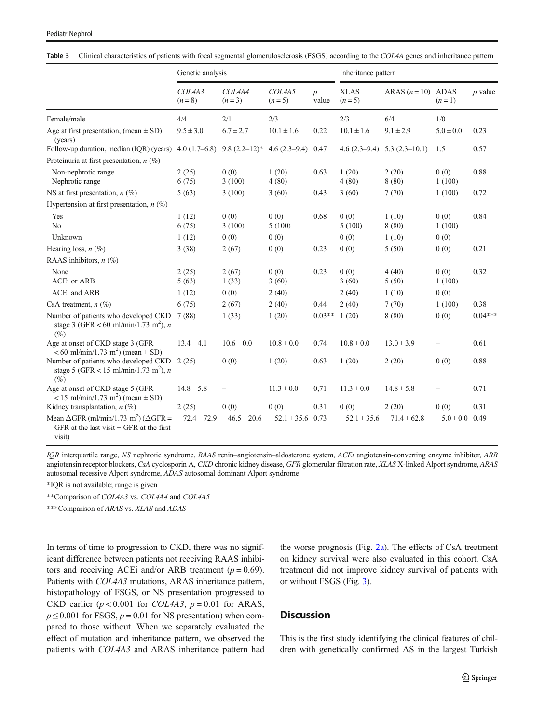<span id="page-6-0"></span>

|  | Table 3 Clinical characteristics of patients with focal segmental glomerulosclerosis (FSGS) according to the COL4A genes and inheritance pattern |  |  |  |  |  |  |  |
|--|--------------------------------------------------------------------------------------------------------------------------------------------------|--|--|--|--|--|--|--|
|--|--------------------------------------------------------------------------------------------------------------------------------------------------|--|--|--|--|--|--|--|

|                                                                                                                                                               | Genetic analysis  |                                  |                       |                           | Inheritance pattern             |                                  |                          |           |
|---------------------------------------------------------------------------------------------------------------------------------------------------------------|-------------------|----------------------------------|-----------------------|---------------------------|---------------------------------|----------------------------------|--------------------------|-----------|
|                                                                                                                                                               | COL4A3<br>$(n=8)$ | COL4A4<br>$(n=3)$                | COL4A5<br>$(n=5)$     | $\boldsymbol{p}$<br>value | <b>XLAS</b><br>$(n=5)$          | ARAS $(n=10)$ ADAS               | $(n=1)$                  | $p$ value |
| Female/male                                                                                                                                                   | 4/4               | 2/1                              | 2/3                   |                           | 2/3                             | 6/4                              | 1/0                      |           |
| Age at first presentation, (mean $\pm$ SD)<br>(years)                                                                                                         | $9.5 \pm 3.0$     | $6.7 \pm 2.7$                    | $10.1 \pm 1.6$        | 0.22                      | $10.1 \pm 1.6$                  | $9.1 \pm 2.9$                    | $5.0 \pm 0.0$            | 0.23      |
| Follow-up duration, median (IQR) (years)                                                                                                                      |                   | 4.0 $(1.7-6.8)$ 9.8 $(2.2-12)^*$ | $4.6(2.3-9.4)$        | 0.47                      |                                 | 4.6 $(2.3-9.4)$ 5.3 $(2.3-10.1)$ | 1.5                      | 0.57      |
| Proteinuria at first presentation, $n$ (%)                                                                                                                    |                   |                                  |                       |                           |                                 |                                  |                          |           |
| Non-nephrotic range<br>Nephrotic range                                                                                                                        | 2(25)<br>6(75)    | 0(0)<br>3(100)                   | 1(20)<br>4(80)        | 0.63                      | 1(20)<br>4(80)                  | 2(20)<br>8(80)                   | 0(0)<br>1(100)           | 0.88      |
| NS at first presentation, $n$ (%)                                                                                                                             | 5(63)             | 3(100)                           | 3(60)                 | 0.43                      | 3(60)                           | 7(70)                            | 1(100)                   | 0.72      |
| Hypertension at first presentation, $n$ (%)                                                                                                                   |                   |                                  |                       |                           |                                 |                                  |                          |           |
| Yes                                                                                                                                                           | 1(12)             | 0(0)                             | 0(0)                  | 0.68                      | 0(0)                            | 1(10)                            | 0(0)                     | 0.84      |
| N <sub>o</sub>                                                                                                                                                | 6(75)             | 3(100)                           | 5(100)                |                           | 5(100)                          | 8(80)                            | 1(100)                   |           |
| Unknown                                                                                                                                                       | 1(12)             | 0(0)                             | 0(0)                  |                           | 0(0)                            | 1(10)                            | 0(0)                     |           |
| Hearing loss, $n$ (%)                                                                                                                                         | 3(38)             | 2(67)                            | 0(0)                  | 0.23                      | 0(0)                            | 5(50)                            | 0(0)                     | 0.21      |
| RAAS inhibitors, $n$ (%)                                                                                                                                      |                   |                                  |                       |                           |                                 |                                  |                          |           |
| None                                                                                                                                                          | 2(25)             | 2(67)                            | 0(0)                  | 0.23                      | 0(0)                            | 4(40)                            | 0(0)                     | 0.32      |
| <b>ACEi</b> or ARB                                                                                                                                            | 5(63)             | 1(33)                            | 3(60)                 |                           | 3(60)                           | 5(50)                            | 1(100)                   |           |
| <b>ACEi</b> and ARB                                                                                                                                           | 1(12)             | 0(0)                             | 2(40)                 |                           | 2(40)                           | 1(10)                            | 0(0)                     |           |
| CsA treatment, $n$ (%)                                                                                                                                        | 6(75)             | 2(67)                            | 2(40)                 | 0.44                      | 2(40)                           | 7(70)                            | 1(100)                   | 0.38      |
| Number of patients who developed CKD<br>stage 3 (GFR < 60 ml/min/1.73 m <sup>2</sup> ), n<br>$(\%)$                                                           | 7(88)             | 1(33)                            | 1(20)                 | $0.03**$                  | 1(20)                           | 8(80)                            | 0(0)                     | $0.04***$ |
| Age at onset of CKD stage 3 (GFR<br>$< 60$ ml/min/1.73 m <sup>2</sup> ) (mean $\pm$ SD)                                                                       | $13.4 \pm 4.1$    | $10.6 \pm 0.0$                   | $10.8 \pm 0.0$        | 0.74                      | $10.8 \pm 0.0$                  | $13.0 \pm 3.9$                   |                          | 0.61      |
| Number of patients who developed CKD 2 (25)<br>stage 5 (GFR < 15 ml/min/1.73 m <sup>2</sup> ), <i>n</i><br>$(\%)$                                             |                   | 0(0)                             | 1(20)                 | 0.63                      | 1(20)                           | 2(20)                            | 0(0)                     | 0.88      |
| Age at onset of CKD stage 5 (GFR<br><15 ml/min/1.73 m <sup>2</sup> ) (mean $\pm$ SD)                                                                          | $14.8 \pm 5.8$    | $\overline{\phantom{0}}$         | $11.3 \pm 0.0$        | 0,71                      | $11.3 \pm 0.0$                  | $14.8 \pm 5.8$                   | $\overline{\phantom{0}}$ | 0.71      |
| Kidney transplantation, $n$ (%)                                                                                                                               | 2(25)             | 0(0)                             | 0(0)                  | 0.31                      | 0(0)                            | 2(20)                            | 0(0)                     | 0.31      |
| Mean $\triangle GFR$ (ml/min/1.73 m <sup>2</sup> ) ( $\triangle GFR = -72.4 \pm 72.9 - 46.5 \pm 20.6$<br>GFR at the last visit $-$ GFR at the first<br>visit) |                   |                                  | $-52.1 \pm 35.6$ 0.73 |                           | $-52.1 \pm 35.6 -71.4 \pm 62.8$ |                                  | $-5.0 \pm 0.0$           | 0.49      |

IQR interquartile range, NS nephrotic syndrome, RAAS renin–angiotensin–aldosterone system, ACEi angiotensin-converting enzyme inhibitor, ARB angiotensin receptor blockers, CsA cyclosporin A, CKD chronic kidney disease, GFR glomerular filtration rate, XLAS X-linked Alport syndrome, ARAS autosomal recessive Alport syndrome, ADAS autosomal dominant Alport syndrome

\*IQR is not available; range is given

\*\*Comparison of COL4A3 vs. COL4A4 and COL4A5

\*\*\*Comparison of ARAS vs. XLAS and ADAS

In terms of time to progression to CKD, there was no significant difference between patients not receiving RAAS inhibitors and receiving ACEi and/or ARB treatment  $(p = 0.69)$ . Patients with COL4A3 mutations, ARAS inheritance pattern, histopathology of FSGS, or NS presentation progressed to CKD earlier  $(p < 0.001$  for *COL4A3*,  $p = 0.01$  for ARAS,  $p \le 0.001$  for FSGS,  $p = 0.01$  for NS presentation) when compared to those without. When we separately evaluated the effect of mutation and inheritance pattern, we observed the patients with COL4A3 and ARAS inheritance pattern had the worse prognosis (Fig. [2a\)](#page-8-0). The effects of CsA treatment on kidney survival were also evaluated in this cohort. CsA treatment did not improve kidney survival of patients with or without FSGS (Fig. [3](#page-8-0)).

# **Discussion**

This is the first study identifying the clinical features of children with genetically confirmed AS in the largest Turkish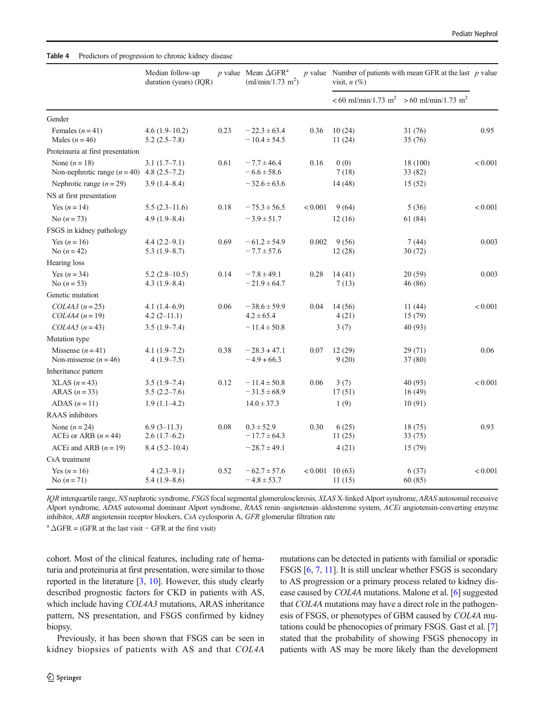<span id="page-7-0"></span>

|                                                                 | Median follow-up<br>duration (years) (IQR) |      | p value Mean $\triangle GFR^a$<br>(ml/min/1.73 m <sup>2</sup> ) |                   | $p$ value Number of patients with mean GFR at the last $p$ value<br>visit, $n$ $(\%)$ |                                   |         |
|-----------------------------------------------------------------|--------------------------------------------|------|-----------------------------------------------------------------|-------------------|---------------------------------------------------------------------------------------|-----------------------------------|---------|
|                                                                 |                                            |      |                                                                 |                   | $< 60$ ml/min/1.73 m <sup>2</sup>                                                     | $> 60$ ml/min/1.73 m <sup>2</sup> |         |
| Gender                                                          |                                            |      |                                                                 |                   |                                                                                       |                                   |         |
| Females $(n=41)$<br>Males $(n=46)$                              | $4.6(1.9-10.2)$<br>$5.2(2.5-7.8)$          | 0.23 | $-22.3 \pm 63.4$<br>$-10.4 \pm 54.5$                            | 0.36              | 10(24)<br>11(24)                                                                      | 31 (76)<br>35(76)                 | 0.95    |
| Proteinuria at first presentation                               |                                            |      |                                                                 |                   |                                                                                       |                                   |         |
| None $(n = 18)$<br>Non-nephrotic range $(n = 40)$ 4.8 (2.5–7.2) | $3.1(1.7-7.1)$                             | 0.61 | $-7.7 \pm 46.4$<br>$-6.6 \pm 58.6$                              | 0.16              | 0(0)<br>7(18)                                                                         | 18 (100)<br>33 (82)               | < 0.001 |
| Nephrotic range $(n = 29)$                                      | $3.9(1.4 - 8.4)$                           |      | $-32.6 \pm 63.6$                                                |                   | 14 (48)                                                                               | 15(52)                            |         |
| NS at first presentation                                        |                                            |      |                                                                 |                   |                                                                                       |                                   |         |
| Yes $(n = 14)$                                                  | $5.5(2.3-11.6)$                            | 0.18 | $-75.3 \pm 56.5$                                                | < 0.001           | 9(64)                                                                                 | 5(36)                             | < 0.001 |
| No $(n = 73)$                                                   | $4.9(1.9 - 8.4)$                           |      | $-3.9 \pm 51.7$                                                 |                   | 12(16)                                                                                | 61 (84)                           |         |
| FSGS in kidney pathology                                        |                                            |      |                                                                 |                   |                                                                                       |                                   |         |
| Yes $(n=16)$<br>No $(n = 42)$                                   | $4.4(2.2 - 9.1)$<br>$5.3(1.9 - 8.7)$       | 0.69 | $-61.2 \pm 54.9$<br>$-7.7 \pm 57.6$                             | 0.002             | 9(56)<br>12(28)                                                                       | 7(44)<br>30 (72)                  | 0.003   |
| Hearing loss                                                    |                                            |      |                                                                 |                   |                                                                                       |                                   |         |
| Yes $(n = 34)$<br>No $(n = 53)$                                 | $5.2(2.8-10.5)$<br>$4.3(1.9 - 8.4)$        | 0.14 | $-7.8 \pm 49.1$<br>$-21.9 \pm 64.7$                             | 0.28              | 14(41)<br>7(13)                                                                       | 20 (59)<br>46 (86)                | 0.003   |
| Genetic mutation                                                |                                            |      |                                                                 |                   |                                                                                       |                                   |         |
| $COL4A3 (n=25)$<br>$COL4A4 (n=19)$                              | $4.1(1.4-6.9)$<br>$4.2(2-11.1)$            | 0.06 | $-38.6 \pm 59.9$<br>$4.2 \pm 65.4$                              | 0.04              | 14 (56)<br>4(21)                                                                      | 11(44)<br>15 (79)                 | < 0.001 |
| $COL4A5 (n=43)$                                                 | $3.5(1.9-7.4)$                             |      | $-11.4 \pm 50.8$                                                |                   | 3(7)                                                                                  | 40 (93)                           |         |
| Mutation type                                                   |                                            |      |                                                                 |                   |                                                                                       |                                   |         |
| Missense $(n=41)$<br>Non-missense $(n=46)$                      | $4.1(1.9-7.2)$<br>$4(1.9-7.5)$             | 0.38 | $-28.3 + 47.1$<br>$-4.9 + 66.3$                                 | 0.07              | 12(29)<br>9(20)                                                                       | 29 (71)<br>37 (80)                | 0.06    |
| Inheritance pattern                                             |                                            |      |                                                                 |                   |                                                                                       |                                   |         |
| $XLAS (n=43)$<br>ARAS $(n=33)$                                  | $3.5(1.9 - 7.4)$<br>$5.5(2.2 - 7.6)$       | 0.12 | $-11.4 \pm 50.8$<br>$-31.5 \pm 68.9$                            | 0.06              | 3(7)<br>17(51)                                                                        | 40 (93)<br>16(49)                 | < 0.001 |
| ADAS $(n=11)$                                                   | $1.9(1.1-4.2)$                             |      | $14.0 \pm 37.3$                                                 |                   | 1(9)                                                                                  | 10(91)                            |         |
| <b>RAAS</b> inhibitors                                          |                                            |      |                                                                 |                   |                                                                                       |                                   |         |
| None $(n=24)$<br>ACEi or ARB $(n=44)$                           | $6.9(3-11.3)$<br>$2.6(1.7-6.2)$            | 0.08 | $0.3 \pm 52.9$<br>$-17.7 \pm 64.3$                              | 0.30              | 6(25)<br>11(25)                                                                       | 18 (75)<br>33 (75)                | 0.93    |
| ACEi and ARB $(n = 19)$                                         | $8.4(5.2 - 10.4)$                          |      | $-28.7 \pm 49.1$                                                |                   | 4(21)                                                                                 | 15 (79)                           |         |
| CsA treatment                                                   |                                            |      |                                                                 |                   |                                                                                       |                                   |         |
| Yes $(n = 16)$<br>No $(n = 71)$                                 | $4(2.3-9.1)$<br>$5.4(1.9-8.6)$             | 0.52 | $-62.7 \pm 57.6$<br>$-4.8 \pm 53.7$                             | $< 0.001$ 10 (63) | 11(15)                                                                                | 6(37)<br>60(85)                   | < 0.001 |

IQR interquartile range, NS nephrotic syndrome, FSGS focal segmental glomerulosclerosis, XLAS X-linked Alport syndrome, ARAS autosomal recessive Alport syndrome, ADAS autosomal dominant Alport syndrome, RAAS renin–angiotensin–aldosterone system, ACEi angiotensin-converting enzyme inhibitor, ARB angiotensin receptor blockers, CsA cyclosporin A, GFR glomerular filtration rate

 $a \Delta GFR = (GFR \text{ at the last visit} - GFR \text{ at the first visit})$ 

cohort. Most of the clinical features, including rate of hematuria and proteinuria at first presentation, were similar to those reported in the literature [\[3](#page-10-0), [10](#page-10-0)]. However, this study clearly described prognostic factors for CKD in patients with AS, which include having *COL4A3* mutations, ARAS inheritance pattern, NS presentation, and FSGS confirmed by kidney biopsy.

Previously, it has been shown that FSGS can be seen in kidney biopsies of patients with AS and that COL4A mutations can be detected in patients with familial or sporadic FSGS [\[6,](#page-10-0) [7,](#page-10-0) [11](#page-10-0)]. It is still unclear whether FSGS is secondary to AS progression or a primary process related to kidney disease caused by COL4A mutations. Malone et al. [[6\]](#page-10-0) suggested that COL4A mutations may have a direct role in the pathogenesis of FSGS, or phenotypes of GBM caused by COL4A mutations could be phenocopies of primary FSGS. Gast et al. [\[7](#page-10-0)] stated that the probability of showing FSGS phenocopy in patients with AS may be more likely than the development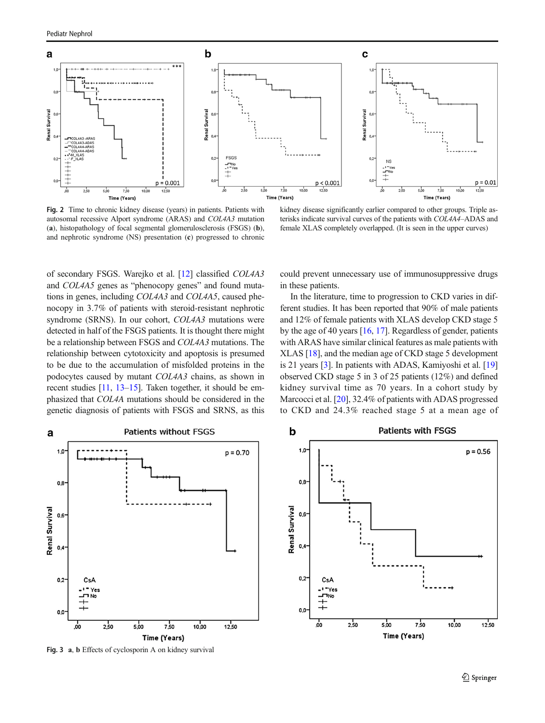<span id="page-8-0"></span>

Fig. 2 Time to chronic kidney disease (years) in patients. Patients with autosomal recessive Alport syndrome (ARAS) and COL4A3 mutation (a), histopathology of focal segmental glomerulosclerosis (FSGS) (b), and nephrotic syndrome (NS) presentation (c) progressed to chronic

of secondary FSGS. Warejko et al. [[12\]](#page-10-0) classified COL4A3 and COL4A5 genes as "phenocopy genes" and found mutations in genes, including COL4A3 and COL4A5, caused phenocopy in 3.7% of patients with steroid-resistant nephrotic syndrome (SRNS). In our cohort, COL4A3 mutations were detected in half of the FSGS patients. It is thought there might be a relationship between FSGS and COL4A3 mutations. The relationship between cytotoxicity and apoptosis is presumed to be due to the accumulation of misfolded proteins in the podocytes caused by mutant COL4A3 chains, as shown in recent studies [\[11,](#page-10-0) [13](#page-10-0)–[15\]](#page-10-0). Taken together, it should be emphasized that COL4A mutations should be considered in the

genetic diagnosis of patients with FSGS and SRNS, as this

kidney disease significantly earlier compared to other groups. Triple asterisks indicate survival curves of the patients with COL4A4–ADAS and female XLAS completely overlapped. (It is seen in the upper curves)

could prevent unnecessary use of immunosuppressive drugs in these patients.

In the literature, time to progression to CKD varies in different studies. It has been reported that 90% of male patients and 12% of female patients with XLAS develop CKD stage 5 by the age of 40 years [\[16](#page-10-0), [17\]](#page-10-0). Regardless of gender, patients with ARAS have similar clinical features as male patients with XLAS [\[18\]](#page-10-0), and the median age of CKD stage 5 development is 21 years [[3\]](#page-10-0). In patients with ADAS, Kamiyoshi et al. [\[19](#page-10-0)] observed CKD stage 5 in 3 of 25 patients (12%) and defined kidney survival time as 70 years. In a cohort study by Marcocci et al. [\[20\]](#page-11-0), 32.4% of patients with ADAS progressed to CKD and 24.3% reached stage 5 at a mean age of



Fig. 3 a, b Effects of cyclosporin A on kidney survival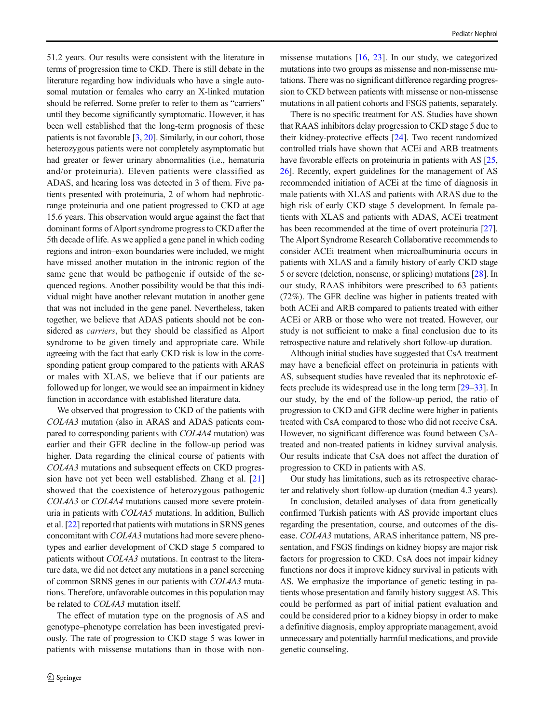51.2 years. Our results were consistent with the literature in terms of progression time to CKD. There is still debate in the literature regarding how individuals who have a single autosomal mutation or females who carry an X-linked mutation should be referred. Some prefer to refer to them as "carriers" until they become significantly symptomatic. However, it has been well established that the long-term prognosis of these patients is not favorable [\[3,](#page-10-0) [20](#page-11-0)]. Similarly, in our cohort, those heterozygous patients were not completely asymptomatic but had greater or fewer urinary abnormalities (i.e., hematuria and/or proteinuria). Eleven patients were classified as ADAS, and hearing loss was detected in 3 of them. Five patients presented with proteinuria, 2 of whom had nephroticrange proteinuria and one patient progressed to CKD at age 15.6 years. This observation would argue against the fact that dominant forms of Alport syndrome progress to CKD after the 5th decade of life. As we applied a gene panel in which coding regions and intron–exon boundaries were included, we might have missed another mutation in the intronic region of the same gene that would be pathogenic if outside of the sequenced regions. Another possibility would be that this individual might have another relevant mutation in another gene that was not included in the gene panel. Nevertheless, taken together, we believe that ADAS patients should not be considered as carriers, but they should be classified as Alport syndrome to be given timely and appropriate care. While agreeing with the fact that early CKD risk is low in the corresponding patient group compared to the patients with ARAS or males with XLAS, we believe that if our patients are followed up for longer, we would see an impairment in kidney function in accordance with established literature data.

We observed that progression to CKD of the patients with COL4A3 mutation (also in ARAS and ADAS patients compared to corresponding patients with COL4A4 mutation) was earlier and their GFR decline in the follow-up period was higher. Data regarding the clinical course of patients with COL4A3 mutations and subsequent effects on CKD progression have not yet been well established. Zhang et al. [[21\]](#page-11-0) showed that the coexistence of heterozygous pathogenic COL4A3 or COL4A4 mutations caused more severe proteinuria in patients with COL4A5 mutations. In addition, Bullich et al. [\[22](#page-11-0)] reported that patients with mutations in SRNS genes concomitant with COL4A3 mutations had more severe phenotypes and earlier development of CKD stage 5 compared to patients without COL4A3 mutations. In contrast to the literature data, we did not detect any mutations in a panel screening of common SRNS genes in our patients with COL4A3 mutations. Therefore, unfavorable outcomes in this population may be related to *COL4A3* mutation itself.

The effect of mutation type on the prognosis of AS and genotype–phenotype correlation has been investigated previously. The rate of progression to CKD stage 5 was lower in patients with missense mutations than in those with non-

missense mutations [[16,](#page-10-0) [23\]](#page-11-0). In our study, we categorized mutations into two groups as missense and non-missense mutations. There was no significant difference regarding progression to CKD between patients with missense or non-missense mutations in all patient cohorts and FSGS patients, separately.

There is no specific treatment for AS. Studies have shown that RAAS inhibitors delay progression to CKD stage 5 due to their kidney-protective effects [\[24](#page-11-0)]. Two recent randomized controlled trials have shown that ACEi and ARB treatments have favorable effects on proteinuria in patients with AS [\[25,](#page-11-0) [26\]](#page-11-0). Recently, expert guidelines for the management of AS recommended initiation of ACEi at the time of diagnosis in male patients with XLAS and patients with ARAS due to the high risk of early CKD stage 5 development. In female patients with XLAS and patients with ADAS, ACEi treatment has been recommended at the time of overt proteinuria [[27\]](#page-11-0). The Alport Syndrome Research Collaborative recommends to consider ACEi treatment when microalbuminuria occurs in patients with XLAS and a family history of early CKD stage 5 or severe (deletion, nonsense, or splicing) mutations [[28](#page-11-0)]. In our study, RAAS inhibitors were prescribed to 63 patients (72%). The GFR decline was higher in patients treated with both ACEi and ARB compared to patients treated with either ACEi or ARB or those who were not treated. However, our study is not sufficient to make a final conclusion due to its retrospective nature and relatively short follow-up duration.

Although initial studies have suggested that CsA treatment may have a beneficial effect on proteinuria in patients with AS, subsequent studies have revealed that its nephrotoxic effects preclude its widespread use in the long term [[29](#page-11-0)–[33](#page-11-0)]. In our study, by the end of the follow-up period, the ratio of progression to CKD and GFR decline were higher in patients treated with CsA compared to those who did not receive CsA. However, no significant difference was found between CsAtreated and non-treated patients in kidney survival analysis. Our results indicate that CsA does not affect the duration of progression to CKD in patients with AS.

Our study has limitations, such as its retrospective character and relatively short follow-up duration (median 4.3 years).

In conclusion, detailed analyses of data from genetically confirmed Turkish patients with AS provide important clues regarding the presentation, course, and outcomes of the disease. COL4A3 mutations, ARAS inheritance pattern, NS presentation, and FSGS findings on kidney biopsy are major risk factors for progression to CKD. CsA does not impair kidney functions nor does it improve kidney survival in patients with AS. We emphasize the importance of genetic testing in patients whose presentation and family history suggest AS. This could be performed as part of initial patient evaluation and could be considered prior to a kidney biopsy in order to make a definitive diagnosis, employ appropriate management, avoid unnecessary and potentially harmful medications, and provide genetic counseling.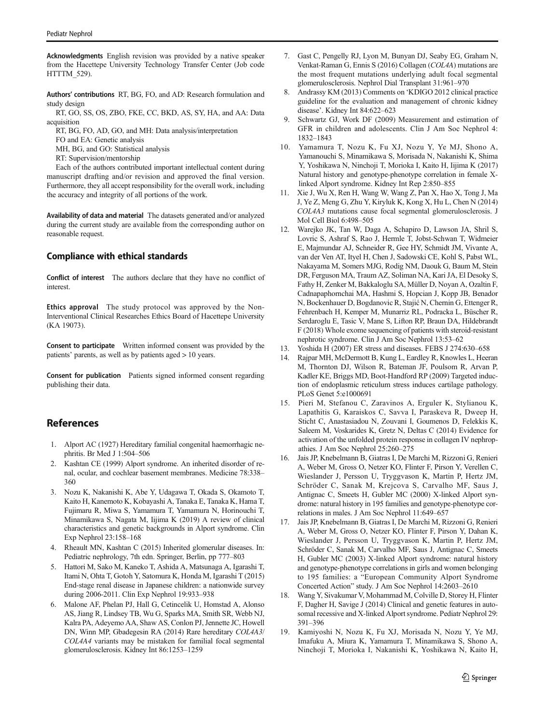<span id="page-10-0"></span>Acknowledgments English revision was provided by a native speaker from the Hacettepe University Technology Transfer Center (Job code HTTTM 529).

Authors' contributions RT, BG, FO, and AD: Research formulation and study design

RT, GO, SS, OS, ZBO, FKE, CC, BKD, AS, SY, HA, and AA: Data acquisition

RT, BG, FO, AD, GO, and MH: Data analysis/interpretation

FO and EA: Genetic analysis

MH, BG, and GO: Statistical analysis

RT: Supervision/mentorship

Each of the authors contributed important intellectual content during manuscript drafting and/or revision and approved the final version. Furthermore, they all accept responsibility for the overall work, including the accuracy and integrity of all portions of the work.

Availability of data and material The datasets generated and/or analyzed during the current study are available from the corresponding author on reasonable request.

## Compliance with ethical standards

Conflict of interest The authors declare that they have no conflict of interest.

Ethics approval The study protocol was approved by the Non-Interventional Clinical Researches Ethics Board of Hacettepe University (KA 19073).

Consent to participate Written informed consent was provided by the patients' parents, as well as by patients aged > 10 years.

Consent for publication Patients signed informed consent regarding publishing their data.

# **References**

- 1. Alport AC (1927) Hereditary familial congenital haemorrhagic nephritis. Br Med J 1:504–506
- 2. Kashtan CE (1999) Alport syndrome. An inherited disorder of renal, ocular, and cochlear basement membranes. Medicine 78:338– 360
- 3. Nozu K, Nakanishi K, Abe Y, Udagawa T, Okada S, Okamoto T, Kaito H, Kanemoto K, Kobayashi A, Tanaka E, Tanaka K, Hama T, Fujimaru R, Miwa S, Yamamura T, Yamamura N, Horinouchi T, Minamikawa S, Nagata M, Iijima K (2019) A review of clinical characteristics and genetic backgrounds in Alport syndrome. Clin Exp Nephrol 23:158–168
- Rheault MN, Kashtan C (2015) Inherited glomerular diseases. In: Pediatric nephrology, 7th edn. Springer, Berlin, pp 777–803
- 5. Hattori M, Sako M, Kaneko T, Ashida A, Matsunaga A, Igarashi T, Itami N, Ohta T, Gotoh Y, Satomura K, Honda M, Igarashi T (2015) End-stage renal disease in Japanese children: a nationwide survey during 2006-2011. Clin Exp Nephrol 19:933–938
- 6. Malone AF, Phelan PJ, Hall G, Cetincelik U, Homstad A, Alonso AS, Jiang R, Lindsey TB, Wu G, Sparks MA, Smith SR, Webb NJ, Kalra PA, Adeyemo AA, Shaw AS, Conlon PJ, Jennette JC, Howell DN, Winn MP, Gbadegesin RA (2014) Rare hereditary COL4A3/ COL4A4 variants may be mistaken for familial focal segmental glomerulosclerosis. Kidney Int 86:1253–1259
- 7. Gast C, Pengelly RJ, Lyon M, Bunyan DJ, Seaby EG, Graham N, Venkat-Raman G, Ennis S (2016) Collagen (COL4A) mutations are the most frequent mutations underlying adult focal segmental glomerulosclerosis. Nephrol Dial Transplant 31:961–970
- 8. Andrassy KM (2013) Comments on 'KDIGO 2012 clinical practice guideline for the evaluation and management of chronic kidney disease'. Kidney Int 84:622–623
- 9. Schwartz GJ, Work DF (2009) Measurement and estimation of GFR in children and adolescents. Clin J Am Soc Nephrol 4: 1832–1843
- 10. Yamamura T, Nozu K, Fu XJ, Nozu Y, Ye MJ, Shono A, Yamanouchi S, Minamikawa S, Morisada N, Nakanishi K, Shima Y, Yoshikawa N, Ninchoji T, Morioka I, Kaito H, Iijima K (2017) Natural history and genotype-phenotype correlation in female Xlinked Alport syndrome. Kidney Int Rep 2:850–855
- 11. Xie J, Wu X, Ren H, Wang W, Wang Z, Pan X, Hao X, Tong J, Ma J, Ye Z, Meng G, Zhu Y, Kiryluk K, Kong X, Hu L, Chen N (2014) COL4A3 mutations cause focal segmental glomerulosclerosis. J Mol Cell Biol 6:498–505
- 12. Warejko JK, Tan W, Daga A, Schapiro D, Lawson JA, Shril S, Lovric S, Ashraf S, Rao J, Hermle T, Jobst-Schwan T, Widmeier E, Majmundar AJ, Schneider R, Gee HY, Schmidt JM, Vivante A, van der Ven AT, Ityel H, Chen J, Sadowski CE, Kohl S, Pabst WL, Nakayama M, Somers MJG, Rodig NM, Daouk G, Baum M, Stein DR, Ferguson MA, Traum AZ, Soliman NA, Kari JA, El Desoky S, Fathy H, Zenker M, Bakkaloglu SA, Müller D, Noyan A, Ozaltin F, Cadnapaphornchai MA, Hashmi S, Hopcian J, Kopp JB, Benador N, Bockenhauer D, Bogdanovic R, Stajić N, Chernin G, Ettenger R, Fehrenbach H, Kemper M, Munarriz RL, Podracka L, Büscher R, Serdaroglu E, Tasic V, Mane S, Lifton RP, Braun DA, Hildebrandt F (2018) Whole exome sequencing of patients with steroid-resistant nephrotic syndrome. Clin J Am Soc Nephrol 13:53–62
- 13. Yoshida H (2007) ER stress and diseases. FEBS J 274:630–658
- 14. Rajpar MH, McDermott B, Kung L, Eardley R, Knowles L, Heeran M, Thornton DJ, Wilson R, Bateman JF, Poulsom R, Arvan P, Kadler KE, Briggs MD, Boot-Handford RP (2009) Targeted induction of endoplasmic reticulum stress induces cartilage pathology. PLoS Genet 5:e1000691
- 15. Pieri M, Stefanou C, Zaravinos A, Erguler K, Stylianou K, Lapathitis G, Karaiskos C, Savva I, Paraskeva R, Dweep H, Sticht C, Anastasiadou N, Zouvani I, Goumenos D, Felekkis K, Saleem M, Voskarides K, Gretz N, Deltas C (2014) Evidence for activation of the unfolded protein response in collagen IV nephropathies. J Am Soc Nephrol 25:260–275
- 16. Jais JP, Knebelmann B, Giatras I, De Marchi M, Rizzoni G, Renieri A, Weber M, Gross O, Netzer KO, Flinter F, Pirson Y, Verellen C, Wieslander J, Persson U, Tryggvason K, Martin P, Hertz JM, Schröder C, Sanak M, Krejcova S, Carvalho MF, Saus J, Antignac C, Smeets H, Gubler MC (2000) X-linked Alport syndrome: natural history in 195 families and genotype-phenotype correlations in males. J Am Soc Nephrol 11:649–657
- 17. Jais JP, Knebelmann B, Giatras I, De Marchi M, Rizzoni G, Renieri A, Weber M, Gross O, Netzer KO, Flinter F, Pirson Y, Dahan K, Wieslander J, Persson U, Tryggvason K, Martin P, Hertz JM, Schröder C, Sanak M, Carvalho MF, Saus J, Antignac C, Smeets H, Gubler MC (2003) X-linked Alport syndrome: natural history and genotype-phenotype correlations in girls and women belonging to 195 families: a "European Community Alport Syndrome Concerted Action" study. J Am Soc Nephrol 14:2603–2610
- 18. Wang Y, Sivakumar V, Mohammad M, Colville D, Storey H, Flinter F, Dagher H, Savige J (2014) Clinical and genetic features in autosomal recessive and X-linked Alport syndrome. Pediatr Nephrol 29: 391–396
- 19. Kamiyoshi N, Nozu K, Fu XJ, Morisada N, Nozu Y, Ye MJ, Imafuku A, Miura K, Yamamura T, Minamikawa S, Shono A, Ninchoji T, Morioka I, Nakanishi K, Yoshikawa N, Kaito H,